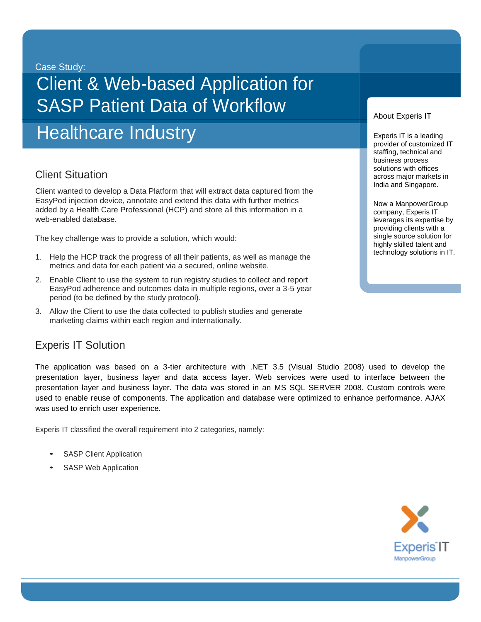#### Case Study:

# Client & Web-based Application for SASP Patient Data of Workflow

**Healthcare Industry** 

# **Client Situation**

Client wanted to develop a Data Platform that will extract data captured from the EasyPod injection device, annotate and extend this data with further metrics added by a Health Care Professional (HCP) and store all this information in a web-enabled database.

The key challenge was to provide a solution, which would:

- 1. Help the HCP track the progress of all their patients, as well as manage the metrics and data for each patient via a secured, online website.
- 2. Enable Client to use the system to run registry studies to collect and report EasyPod adherence and outcomes data in multiple regions, over a 3-5 year period (to be defined by the study protocol).
- 3. Allow the Client to use the data collected to publish studies and generate marketing claims within each region and internationally.

### Experis IT Solution

The application was based on a 3-tier architecture with .NET 3.5 (Visual Studio 2008) used to develop the presentation layer, business layer and data access layer. Web services were used to interface between the presentation layer and business layer. The data was stored in an MS SQL SERVER 2008. Custom controls were used to enable reuse of components. The application and database were optimized to enhance performance. AJAX was used to enrich user experience.

Experis IT classified the overall requirement into 2 categories, namely:

- **SASP Client Application**
- SASP Web Application



#### About Experis IT

Experis IT is a leading provider of customized IT staffing, technical and business process solutions with offices across major markets in India and Singapore.

Now a ManpowerGroup company, Experis IT leverages its expertise by providing clients with a single source solution for highly skilled talent and technology solutions in IT.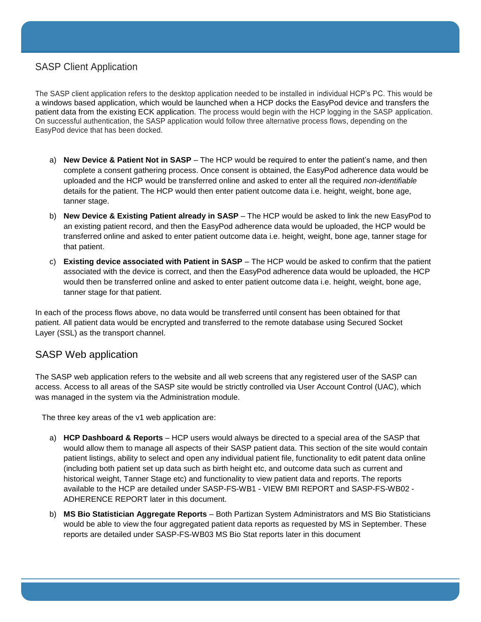#### SASP Client Application

The SASP client application refers to the desktop application needed to be installed in individual HCP's PC. This would be a windows based application, which would be launched when a HCP docks the EasyPod device and transfers the patient data from the existing ECK application. The process would begin with the HCP logging in the SASP application. On successful authentication, the SASP application would follow three alternative process flows, depending on the EasyPod device that has been docked.

- a) **New Device & Patient Not in SASP** The HCP would be required to enter the patient's name, and then complete a consent gathering process. Once consent is obtained, the EasyPod adherence data would be uploaded and the HCP would be transferred online and asked to enter all the required *non-identifiable* details for the patient. The HCP would then enter patient outcome data i.e. height, weight, bone age, tanner stage.
- b) **New Device & Existing Patient already in SASP**  The HCP would be asked to link the new EasyPod to an existing patient record, and then the EasyPod adherence data would be uploaded, the HCP would be transferred online and asked to enter patient outcome data i.e. height, weight, bone age, tanner stage for that patient.
- c) **Existing device associated with Patient in SASP** The HCP would be asked to confirm that the patient associated with the device is correct, and then the EasyPod adherence data would be uploaded, the HCP would then be transferred online and asked to enter patient outcome data i.e. height, weight, bone age, tanner stage for that patient.

In each of the process flows above, no data would be transferred until consent has been obtained for that patient. All patient data would be encrypted and transferred to the remote database using Secured Socket Layer (SSL) as the transport channel.

#### SASP Web application

The SASP web application refers to the website and all web screens that any registered user of the SASP can access. Access to all areas of the SASP site would be strictly controlled via User Account Control (UAC), which was managed in the system via the Administration module.

The three key areas of the v1 web application are:

- a) **HCP Dashboard & Reports** HCP users would always be directed to a special area of the SASP that would allow them to manage all aspects of their SASP patient data. This section of the site would contain patient listings, ability to select and open any individual patient file, functionality to edit patent data online (including both patient set up data such as birth height etc, and outcome data such as current and historical weight, Tanner Stage etc) and functionality to view patient data and reports. The reports available to the HCP are detailed under SASP-FS-WB1 - VIEW BMI REPORT and SASP-FS-WB02 - ADHERENCE REPORT later in this document.
- b) **MS Bio Statistician Aggregate Reports** Both Partizan System Administrators and MS Bio Statisticians would be able to view the four aggregated patient data reports as requested by MS in September. These reports are detailed under SASP-FS-WB03 MS Bio Stat reports later in this document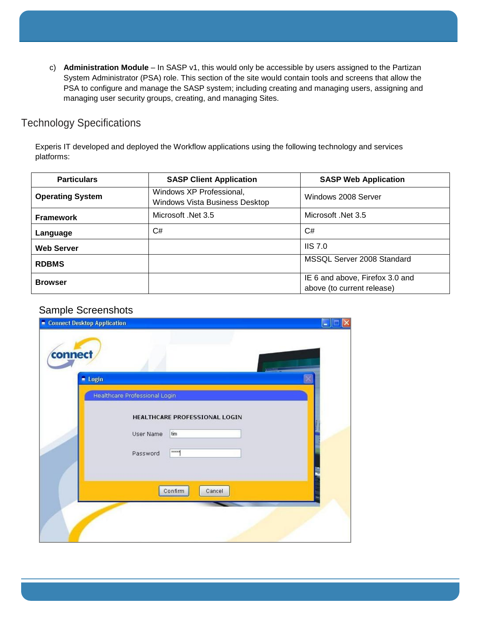c) **Administration Module** – In SASP v1, this would only be accessible by users assigned to the Partizan System Administrator (PSA) role. This section of the site would contain tools and screens that allow the PSA to configure and manage the SASP system; including creating and managing users, assigning and managing user security groups, creating, and managing Sites.

## Technology Specifications

Experis IT developed and deployed the Workflow applications using the following technology and services platforms:

| <b>Particulars</b>      | <b>SASP Client Application</b>                                                           | <b>SASP Web Application</b>                                   |  |
|-------------------------|------------------------------------------------------------------------------------------|---------------------------------------------------------------|--|
| <b>Operating System</b> | Windows XP Professional,<br>Windows 2008 Server<br><b>Windows Vista Business Desktop</b> |                                                               |  |
| <b>Framework</b>        | Microsoft .Net 3.5                                                                       | Microsoft .Net 3.5                                            |  |
| Language                | C#                                                                                       | C#                                                            |  |
| <b>Web Server</b>       |                                                                                          | IIS 7.0                                                       |  |
| <b>RDBMS</b>            |                                                                                          | MSSQL Server 2008 Standard                                    |  |
| <b>Browser</b>          |                                                                                          | IE 6 and above, Firefox 3.0 and<br>above (to current release) |  |

#### Sample Screenshots

| Connect Desktop Application                                            | ÷ |  |
|------------------------------------------------------------------------|---|--|
| connect<br>$\blacksquare$ Login                                        |   |  |
| Healthcare Professional Login                                          |   |  |
| HEALTHCARE PROFESSIONAL LOGIN<br>tim<br>User Name<br>xxxxx<br>Password |   |  |
| Confirm<br>Cancel                                                      |   |  |
|                                                                        |   |  |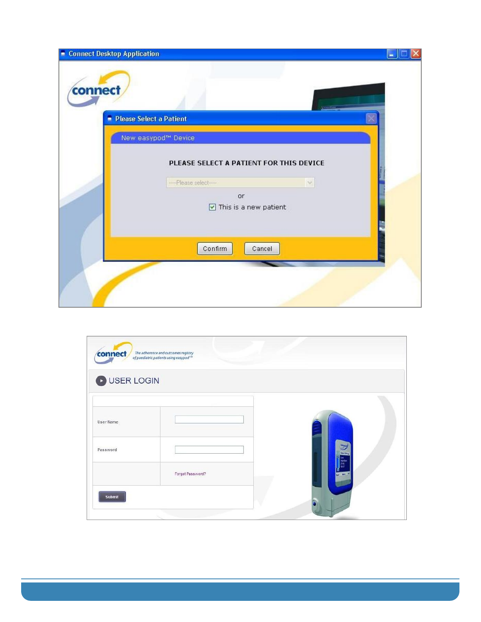| <b>E</b> Connect Desktop Application |                                                                                                                  |  |
|--------------------------------------|------------------------------------------------------------------------------------------------------------------|--|
| connect                              |                                                                                                                  |  |
|                                      | - Please Select a Patient                                                                                        |  |
|                                      | New easypod™ Device                                                                                              |  |
|                                      | PLEASE SELECT A PATIENT FOR THIS DEVICE<br>--- Please select-<br>or<br>$\boxed{\triangle}$ This is a new patient |  |
|                                      | Confirm<br>Cancel                                                                                                |  |

| <b>DUSER LOGIN</b> |                  |  |                                                      |
|--------------------|------------------|--|------------------------------------------------------|
| User Name          |                  |  |                                                      |
| Password           |                  |  | <b>Decision</b><br><b>Nectar</b><br><b>DIS</b><br>90 |
|                    | Forgot Password? |  | <b>WHEN</b>                                          |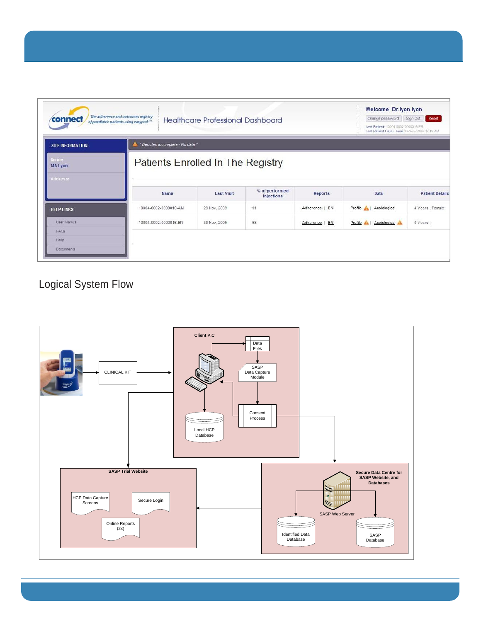| connect                 | The adherence and outcomes registry<br>of paediatric patients using easypod <sup>114</sup> | <b>Healthcare Professional Dashboard</b> |                              |                  | Change password<br>Last Patient: 10004-0002-0000016-ER<br>Last Patient Date / Time: 30-Nov-2009 09:49 AM | Sign Out<br>Reset      |  |
|-------------------------|--------------------------------------------------------------------------------------------|------------------------------------------|------------------------------|------------------|----------------------------------------------------------------------------------------------------------|------------------------|--|
| <b>SITE INFORMATION</b> | * Denotes incomplete / No data *                                                           |                                          |                              |                  |                                                                                                          |                        |  |
| Name:<br><b>MS Lyon</b> |                                                                                            | Patients Enrolled In The Registry        |                              |                  |                                                                                                          |                        |  |
| Address:                |                                                                                            |                                          |                              |                  |                                                                                                          |                        |  |
|                         | Name                                                                                       | <b>Last Visit</b>                        | % of performed<br>injections | Reports          | Data                                                                                                     | <b>Patient Details</b> |  |
| <b>HELP LINKS</b>       | 10004-0002-0000010-AM                                                                      | 29 Nov, 2009                             | 11                           | Adherence   BMI  | Profile A   Auxiological                                                                                 | 4 Years, Female        |  |
| User Manual             | 10004-0002-0000016-ER                                                                      | 30 Nov. 2009                             | 58                           | BMI<br>Adherence | Profile A   Auxiological                                                                                 | 0 Years,               |  |
| FAQs                    |                                                                                            |                                          |                              |                  |                                                                                                          |                        |  |

# Logical System Flow